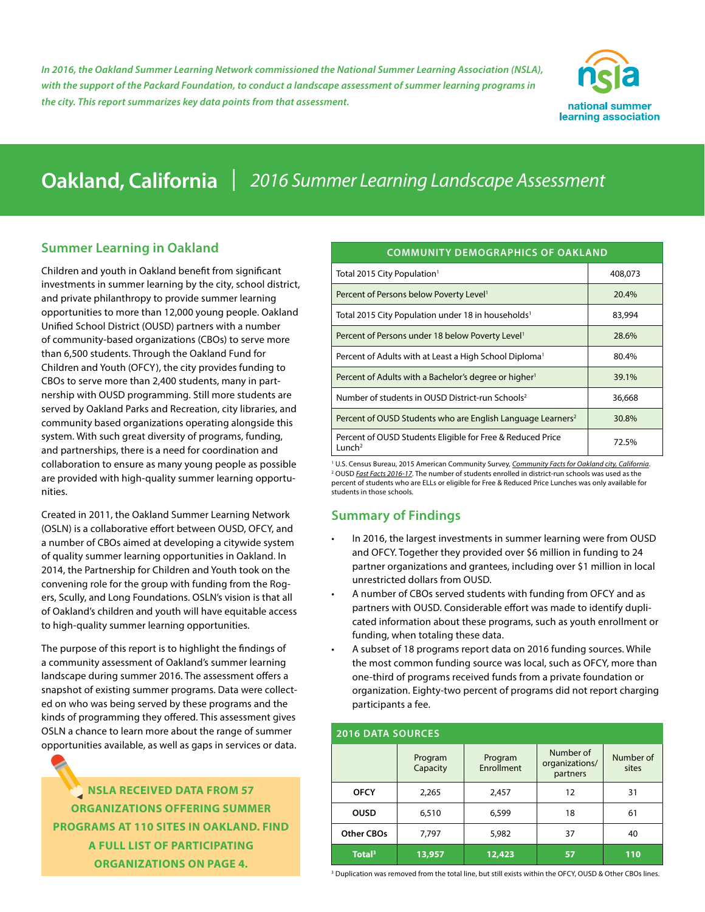*In 2016, the Oakland Summer Learning Network commissioned the National Summer Learning Association (NSLA), with the support of the Packard Foundation, to conduct a landscape assessment of summer learning programs in the city. This report summarizes key data points from that assessment.*



# **Oakland, California** | *2016 Summer Learning Landscape Assessment*

# **Summer Learning in Oakland**

Children and youth in Oakland benefit from significant investments in summer learning by the city, school district, and private philanthropy to provide summer learning opportunities to more than 12,000 young people. Oakland Unified School District (OUSD) partners with a number of community-based organizations (CBOs) to serve more than 6,500 students. Through the Oakland Fund for Children and Youth (OFCY), the city provides funding to CBOs to serve more than 2,400 students, many in partnership with OUSD programming. Still more students are served by Oakland Parks and Recreation, city libraries, and community based organizations operating alongside this system. With such great diversity of programs, funding, and partnerships, there is a need for coordination and collaboration to ensure as many young people as possible are provided with high-quality summer learning opportunities.

Created in 2011, the Oakland Summer Learning Network (OSLN) is a collaborative effort between OUSD, OFCY, and a number of CBOs aimed at developing a citywide system of quality summer learning opportunities in Oakland. In 2014, the Partnership for Children and Youth took on the convening role for the group with funding from the Rogers, Scully, and Long Foundations. OSLN's vision is that all of Oakland's children and youth will have equitable access to high-quality summer learning opportunities.

The purpose of this report is to highlight the findings of a community assessment of Oakland's summer learning landscape during summer 2016. The assessment offers a snapshot of existing summer programs. Data were collected on who was being served by these programs and the kinds of programming they offered. This assessment gives OSLN a chance to learn more about the range of summer opportunities available, as well as gaps in services or data.

**NSLA RECEIVED DATA FROM 57 ORGANIZATIONS OFFERING SUMMER PROGRAMS AT 110 SITES IN OAKLAND. FIND A FULL LIST OF PARTICIPATING ORGANIZATIONS ON PAGE 4.**

| <b>COMMUNITY DEMOGRAPHICS OF OAKLAND</b>                                         |         |  |  |  |
|----------------------------------------------------------------------------------|---------|--|--|--|
| Total 2015 City Population <sup>1</sup>                                          | 408,073 |  |  |  |
| Percent of Persons below Poverty Level <sup>1</sup>                              | 20.4%   |  |  |  |
| Total 2015 City Population under 18 in households <sup>1</sup>                   | 83,994  |  |  |  |
| Percent of Persons under 18 below Poverty Level <sup>1</sup>                     | 28.6%   |  |  |  |
| Percent of Adults with at Least a High School Diploma <sup>1</sup>               | 80.4%   |  |  |  |
| Percent of Adults with a Bachelor's degree or higher <sup>1</sup>                | 39.1%   |  |  |  |
| Number of students in OUSD District-run Schools <sup>2</sup>                     | 36,668  |  |  |  |
| Percent of OUSD Students who are English Language Learners <sup>2</sup>          | 30.8%   |  |  |  |
| Percent of OUSD Students Eligible for Free & Reduced Price<br>Lunch <sup>2</sup> | 72.5%   |  |  |  |

<sup>1</sup> U[.](https://factfinder.census.gov/faces/nav/jsf/pages/community_facts.xhtml)S. Census Bureau, 2015 American Community Survey, <u>Community Facts for Oakland city, California</u>.<br><sup>2</sup> OUSD Fact Facts 2016-17 The number of students enrolled in district-sun schools was used as the OUSD *[Fast Facts 2016-17](https://drive.google.com/file/d/0B6QEqRqzjxxzLXpvbFJFWFMwV28/view)*. The number of students enrolled in district-run schools was used as the percent of students who are ELLs or eligible for Free & Reduced Price Lunches was only available for students in those schools.

# **Summary of Findings**

- In 2016, the largest investments in summer learning were from OUSD and OFCY. Together they provided over \$6 million in funding to 24 partner organizations and grantees, including over \$1 million in local unrestricted dollars from OUSD.
- A number of CBOs served students with funding from OFCY and as partners with OUSD. Considerable effort was made to identify duplicated information about these programs, such as youth enrollment or funding, when totaling these data.
- A subset of 18 programs report data on 2016 funding sources. While the most common funding source was local, such as OFCY, more than one-third of programs received funds from a private foundation or organization. Eighty-two percent of programs did not report charging participants a fee.

| <b>2016 DATA SOURCES</b> |                     |                       |                                         |                    |  |
|--------------------------|---------------------|-----------------------|-----------------------------------------|--------------------|--|
|                          | Program<br>Capacity | Program<br>Enrollment | Number of<br>organizations/<br>partners | Number of<br>sites |  |
| <b>OFCY</b>              | 2,265               | 2,457                 | 12                                      | 31                 |  |
| <b>OUSD</b>              | 6,510               | 6,599                 | 18                                      | 61                 |  |
| <b>Other CBOs</b>        | 7,797               | 5,982                 | 37                                      | 40                 |  |
| Total <sup>3</sup>       | 13,957              | 12,423                | 57                                      | 110                |  |

<sup>3</sup> Duplication was removed from the total line, but still exists within the OFCY, OUSD & Other CBOs lines.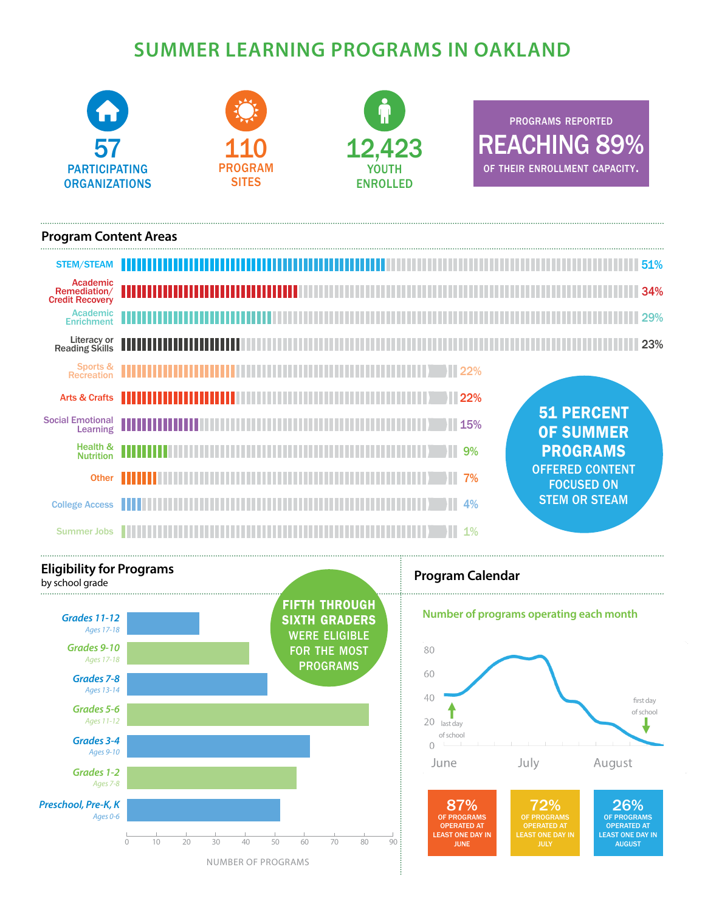# **SUMMER LEARNING PROGRAMS IN OAKLAND**







programs reported REACHING 89%  $\begin{array}{cc} \textbf{57} & \textbf{110} & \textbf{12,423} \ \textbf{1} & \textbf{1} & \textbf{1} & \textbf{1} \ \textbf{1} & \textbf{1} & \textbf{1} & \textbf{1} \ \textbf{1} & \textbf{1} & \textbf{1} & \textbf{1} \ \textbf{1} & \textbf{1} & \textbf{1} & \textbf{1} \ \textbf{1} & \textbf{1} & \textbf{1} & \textbf{1} \ \textbf{1} & \textbf{1} & \textbf{1} & \textbf{1} \ \textbf{1} & \textbf{1} & \text$ 

# **Program Content Areas**





# **Program Calendar**

JUNE

# **Number of programs operating each month**



JULY

AUGUST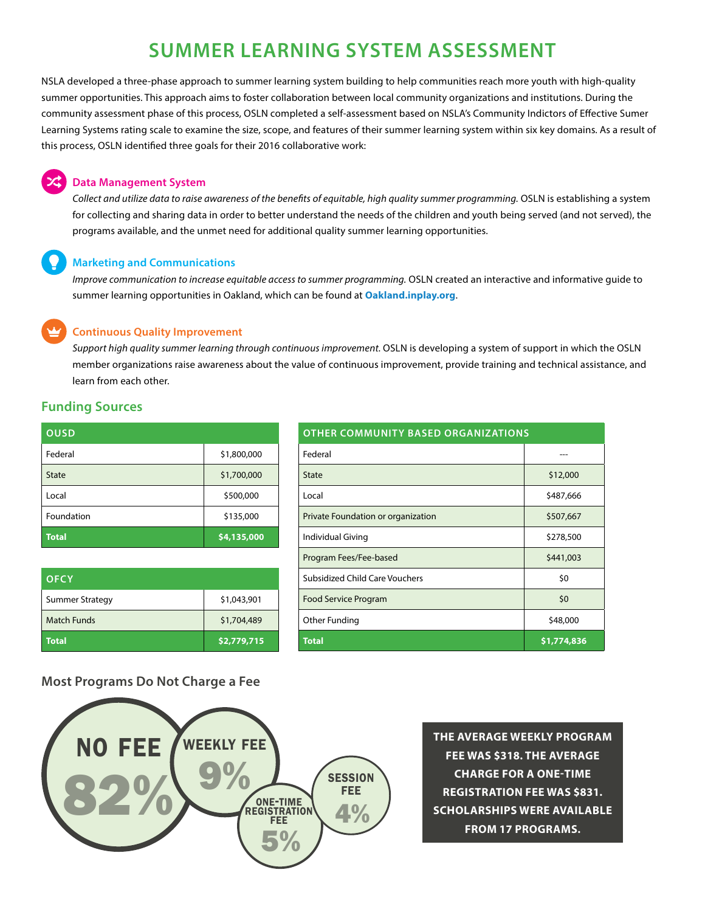# **SUMMER LEARNING SYSTEM ASSESSMENT**

NSLA developed a three-phase approach to summer learning system building to help communities reach more youth with high-quality summer opportunities. This approach aims to foster collaboration between local community organizations and institutions. During the community assessment phase of this process, OSLN completed a self-assessment based on NSLA's Community Indictors of Effective Sumer Learning Systems rating scale to examine the size, scope, and features of their summer learning system within six key domains. As a result of this process, OSLN identified three goals for their 2016 collaborative work:

#### **Data Management System**

*Collect and utilize data to raise awareness of the benefits of equitable, high quality summer programming.* OSLN is establishing a system for collecting and sharing data in order to better understand the needs of the children and youth being served (and not served), the programs available, and the unmet need for additional quality summer learning opportunities.

### **Marketing and Communications**

*Improve communication to increase equitable access to summer programming.* OSLN created an interactive and informative guide to summer learning opportunities in Oakland, which can be found at **[Oakland.inplay.org](https://www.inplay.org/us/ca/oakland)**.

#### **Continuous Quality Improvement**

Support high quality summer learning through continuous improvement. OSLN is developing a system of support in which the OSLN member organizations raise awareness about the value of continuous improvement, provide training and technical assistance, and learn from each other.

# **Funding Sources**

| <b>OUSD</b>  |             |
|--------------|-------------|
| Federal      | \$1,800,000 |
| <b>State</b> | \$1,700,000 |
| Local        | \$500,000   |
| Foundation   | \$135,000   |
| <b>Total</b> | \$4,135,000 |

| <b>OFCY</b>            |             |
|------------------------|-------------|
| <b>Summer Strategy</b> | \$1,043,901 |
| <b>Match Funds</b>     | \$1,704,489 |
| Total                  | \$2,779,715 |

| <b>OTHER COMMUNITY BASED ORGANIZATIONS</b> |             |  |  |  |
|--------------------------------------------|-------------|--|--|--|
| Federal                                    |             |  |  |  |
| State                                      | \$12,000    |  |  |  |
| Local                                      | \$487,666   |  |  |  |
| Private Foundation or organization         | \$507,667   |  |  |  |
| Individual Giving                          | \$278,500   |  |  |  |
| Program Fees/Fee-based                     | \$441,003   |  |  |  |
| Subsidized Child Care Vouchers             | \$0         |  |  |  |
| <b>Food Service Program</b>                | \$0         |  |  |  |
| Other Funding                              | \$48,000    |  |  |  |
| <b>Total</b>                               | \$1,774,836 |  |  |  |

### **Most Programs Do Not Charge a Fee**



**THE AVERAGE WEEKLY PROGRAM FEE WAS \$318. THE AVERAGE CHARGE FOR A ONE-TIME REGISTRATION FEE WAS \$831. SCHOLARSHIPS WERE AVAILABLE FROM 17 PROGRAMS.**